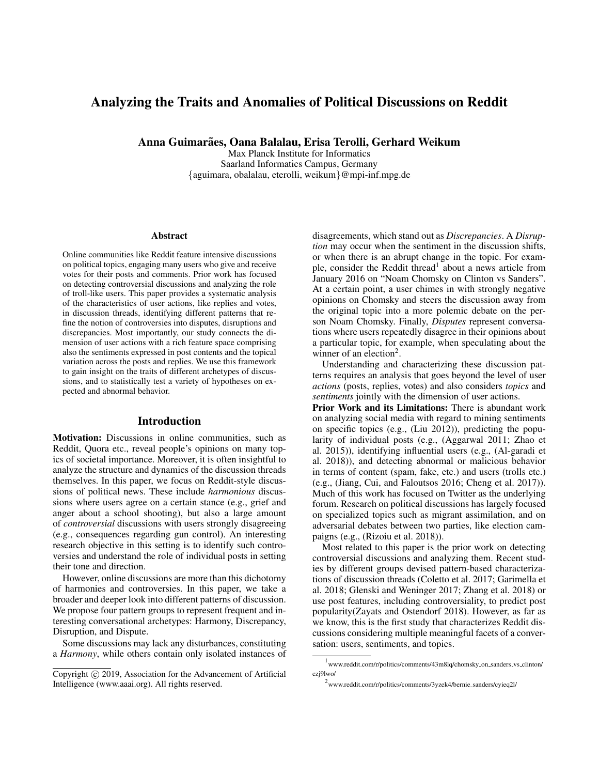# Analyzing the Traits and Anomalies of Political Discussions on Reddit

Anna Guimarães, Oana Balalau, Erisa Terolli, Gerhard Weikum

Max Planck Institute for Informatics Saarland Informatics Campus, Germany {aguimara, obalalau, eterolli, weikum}@mpi-inf.mpg.de

#### **Abstract**

Online communities like Reddit feature intensive discussions on political topics, engaging many users who give and receive votes for their posts and comments. Prior work has focused on detecting controversial discussions and analyzing the role of troll-like users. This paper provides a systematic analysis of the characteristics of user actions, like replies and votes, in discussion threads, identifying different patterns that refine the notion of controversies into disputes, disruptions and discrepancies. Most importantly, our study connects the dimension of user actions with a rich feature space comprising also the sentiments expressed in post contents and the topical variation across the posts and replies. We use this framework to gain insight on the traits of different archetypes of discussions, and to statistically test a variety of hypotheses on expected and abnormal behavior.

# Introduction

Motivation: Discussions in online communities, such as Reddit, Quora etc., reveal people's opinions on many topics of societal importance. Moreover, it is often insightful to analyze the structure and dynamics of the discussion threads themselves. In this paper, we focus on Reddit-style discussions of political news. These include *harmonious* discussions where users agree on a certain stance (e.g., grief and anger about a school shooting), but also a large amount of *controversial* discussions with users strongly disagreeing (e.g., consequences regarding gun control). An interesting research objective in this setting is to identify such controversies and understand the role of individual posts in setting their tone and direction.

However, online discussions are more than this dichotomy of harmonies and controversies. In this paper, we take a broader and deeper look into different patterns of discussion. We propose four pattern groups to represent frequent and interesting conversational archetypes: Harmony, Discrepancy, Disruption, and Dispute.

Some discussions may lack any disturbances, constituting a *Harmony*, while others contain only isolated instances of disagreements, which stand out as *Discrepancies*. A *Disruption* may occur when the sentiment in the discussion shifts, or when there is an abrupt change in the topic. For example, consider the Reddit thread<sup>1</sup> about a news article from January 2016 on "Noam Chomsky on Clinton vs Sanders". At a certain point, a user chimes in with strongly negative opinions on Chomsky and steers the discussion away from the original topic into a more polemic debate on the person Noam Chomsky. Finally, *Disputes* represent conversations where users repeatedly disagree in their opinions about a particular topic, for example, when speculating about the winner of an election<sup>2</sup>.

Understanding and characterizing these discussion patterns requires an analysis that goes beyond the level of user *actions* (posts, replies, votes) and also considers *topics* and *sentiments* jointly with the dimension of user actions.

Prior Work and its Limitations: There is abundant work on analyzing social media with regard to mining sentiments on specific topics (e.g., (Liu 2012)), predicting the popularity of individual posts (e.g., (Aggarwal 2011; Zhao et al. 2015)), identifying influential users (e.g., (Al-garadi et al. 2018)), and detecting abnormal or malicious behavior in terms of content (spam, fake, etc.) and users (trolls etc.) (e.g., (Jiang, Cui, and Faloutsos 2016; Cheng et al. 2017)). Much of this work has focused on Twitter as the underlying forum. Research on political discussions has largely focused on specialized topics such as migrant assimilation, and on adversarial debates between two parties, like election campaigns (e.g., (Rizoiu et al. 2018)).

Most related to this paper is the prior work on detecting controversial discussions and analyzing them. Recent studies by different groups devised pattern-based characterizations of discussion threads (Coletto et al. 2017; Garimella et al. 2018; Glenski and Weninger 2017; Zhang et al. 2018) or use post features, including controversiality, to predict post popularity(Zayats and Ostendorf 2018). However, as far as we know, this is the first study that characterizes Reddit discussions considering multiple meaningful facets of a conversation: users, sentiments, and topics.

Copyright (c) 2019, Association for the Advancement of Artificial Intelligence (www.aaai.org). All rights reserved.

<sup>&</sup>lt;sup>1</sup>www.reddit.com/r/politics/comments/43m8lq/chomsky\_on\_sanders\_vs\_clinton/ czj9lwo/

<sup>&</sup>lt;sup>2</sup> www.reddit.com/r/politics/comments/3yzek4/bernie\_sanders/cyieq2l/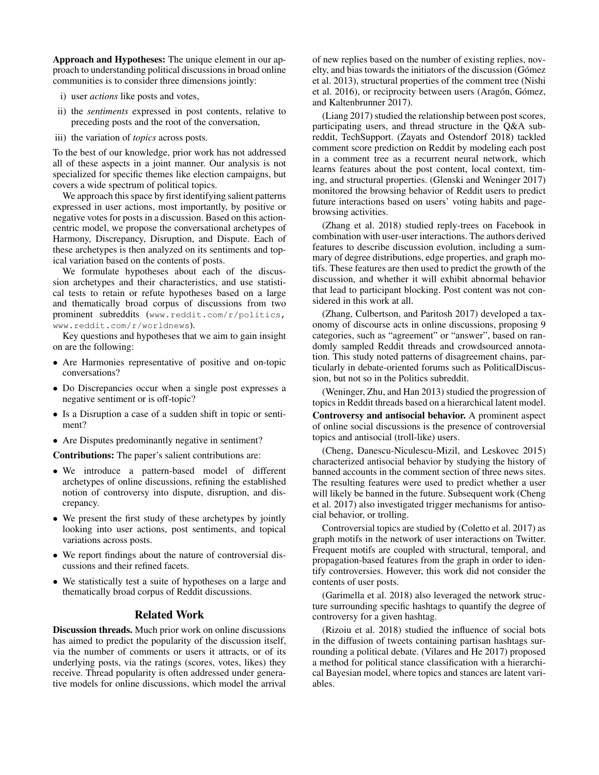Approach and Hypotheses: The unique element in our approach to understanding political discussions in broad online communities is to consider three dimensions jointly:

- i) user *actions* like posts and votes,
- ii) the *sentiments* expressed in post contents, relative to preceding posts and the root of the conversation,
- iii) the variation of *topics* across posts.

To the best of our knowledge, prior work has not addressed all of these aspects in a joint manner. Our analysis is not specialized for specific themes like election campaigns, but covers a wide spectrum of political topics.

We approach this space by first identifying salient patterns expressed in user actions, most importantly, by positive or negative votes for posts in a discussion. Based on this actioncentric model, we propose the conversational archetypes of Harmony, Discrepancy, Disruption, and Dispute. Each of these archetypes is then analyzed on its sentiments and topical variation based on the contents of posts.

We formulate hypotheses about each of the discussion archetypes and their characteristics, and use statistical tests to retain or refute hypotheses based on a large and thematically broad corpus of discussions from two prominent subreddits (www.reddit.com/r/politics, www.reddit.com/r/worldnews).

Key questions and hypotheses that we aim to gain insight on are the following:

- Are Harmonies representative of positive and on-topic conversations?
- Do Discrepancies occur when a single post expresses a negative sentiment or is off-topic?
- Is a Disruption a case of a sudden shift in topic or sentiment?
- Are Disputes predominantly negative in sentiment?

Contributions: The paper's salient contributions are:

- We introduce a pattern-based model of different archetypes of online discussions, refining the established notion of controversy into dispute, disruption, and discrepancy.
- We present the first study of these archetypes by jointly looking into user actions, post sentiments, and topical variations across posts.
- We report findings about the nature of controversial discussions and their refined facets.
- We statistically test a suite of hypotheses on a large and thematically broad corpus of Reddit discussions.

## Related Work

Discussion threads. Much prior work on online discussions has aimed to predict the popularity of the discussion itself, via the number of comments or users it attracts, or of its underlying posts, via the ratings (scores, votes, likes) they receive. Thread popularity is often addressed under generative models for online discussions, which model the arrival

of new replies based on the number of existing replies, novelty, and bias towards the initiators of the discussion (Gómez et al. 2013), structural properties of the comment tree (Nishi et al. 2016), or reciprocity between users (Aragón, Gómez, and Kaltenbrunner 2017).

(Liang 2017) studied the relationship between post scores, participating users, and thread structure in the Q&A subreddit, TechSupport. (Zayats and Ostendorf 2018) tackled comment score prediction on Reddit by modeling each post in a comment tree as a recurrent neural network, which learns features about the post content, local context, timing, and structural properties. (Glenski and Weninger 2017) monitored the browsing behavior of Reddit users to predict future interactions based on users' voting habits and pagebrowsing activities.

(Zhang et al. 2018) studied reply-trees on Facebook in combination with user-user interactions. The authors derived features to describe discussion evolution, including a summary of degree distributions, edge properties, and graph motifs. These features are then used to predict the growth of the discussion, and whether it will exhibit abnormal behavior that lead to participant blocking. Post content was not considered in this work at all.

(Zhang, Culbertson, and Paritosh 2017) developed a taxonomy of discourse acts in online discussions, proposing 9 categories, such as "agreement" or "answer", based on randomly sampled Reddit threads and crowdsourced annotation. This study noted patterns of disagreement chains, particularly in debate-oriented forums such as PoliticalDiscussion, but not so in the Politics subreddit.

(Weninger, Zhu, and Han 2013) studied the progression of topics in Reddit threads based on a hierarchical latent model.

Controversy and antisocial behavior. A prominent aspect of online social discussions is the presence of controversial topics and antisocial (troll-like) users.

(Cheng, Danescu-Niculescu-Mizil, and Leskovec 2015) characterized antisocial behavior by studying the history of banned accounts in the comment section of three news sites. The resulting features were used to predict whether a user will likely be banned in the future. Subsequent work (Cheng et al. 2017) also investigated trigger mechanisms for antisocial behavior, or trolling.

Controversial topics are studied by (Coletto et al. 2017) as graph motifs in the network of user interactions on Twitter. Frequent motifs are coupled with structural, temporal, and propagation-based features from the graph in order to identify controversies. However, this work did not consider the contents of user posts.

(Garimella et al. 2018) also leveraged the network structure surrounding specific hashtags to quantify the degree of controversy for a given hashtag.

(Rizoiu et al. 2018) studied the influence of social bots in the diffusion of tweets containing partisan hashtags surrounding a political debate. (Vilares and He 2017) proposed a method for political stance classification with a hierarchical Bayesian model, where topics and stances are latent variables.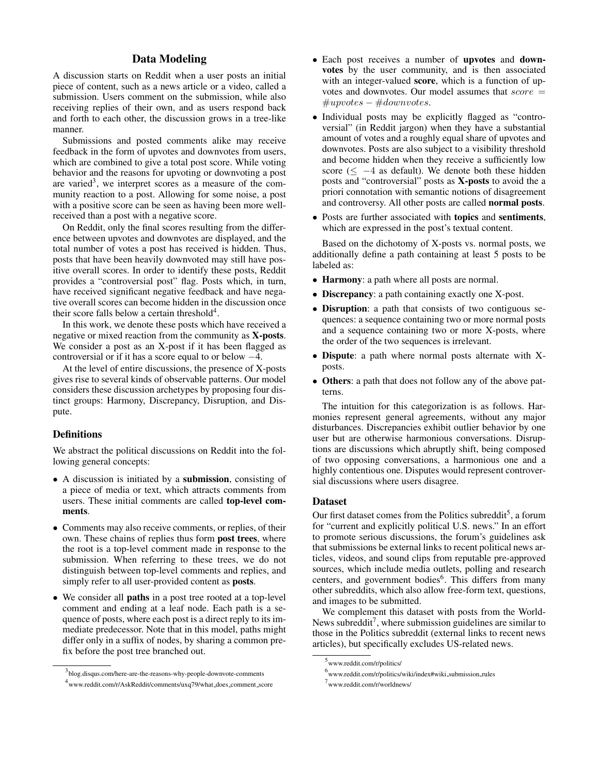# Data Modeling

A discussion starts on Reddit when a user posts an initial piece of content, such as a news article or a video, called a submission. Users comment on the submission, while also receiving replies of their own, and as users respond back and forth to each other, the discussion grows in a tree-like manner.

Submissions and posted comments alike may receive feedback in the form of upvotes and downvotes from users, which are combined to give a total post score. While voting behavior and the reasons for upvoting or downvoting a post are varied<sup>3</sup>, we interpret scores as a measure of the community reaction to a post. Allowing for some noise, a post with a positive score can be seen as having been more wellreceived than a post with a negative score.

On Reddit, only the final scores resulting from the difference between upvotes and downvotes are displayed, and the total number of votes a post has received is hidden. Thus, posts that have been heavily downvoted may still have positive overall scores. In order to identify these posts, Reddit provides a "controversial post" flag. Posts which, in turn, have received significant negative feedback and have negative overall scores can become hidden in the discussion once their score falls below a certain threshold $4$ .

In this work, we denote these posts which have received a negative or mixed reaction from the community as X-posts. We consider a post as an X-post if it has been flagged as controversial or if it has a score equal to or below −4.

At the level of entire discussions, the presence of X-posts gives rise to several kinds of observable patterns. Our model considers these discussion archetypes by proposing four distinct groups: Harmony, Discrepancy, Disruption, and Dispute.

#### **Definitions**

We abstract the political discussions on Reddit into the following general concepts:

- A discussion is initiated by a submission, consisting of a piece of media or text, which attracts comments from users. These initial comments are called top-level comments.
- Comments may also receive comments, or replies, of their own. These chains of replies thus form post trees, where the root is a top-level comment made in response to the submission. When referring to these trees, we do not distinguish between top-level comments and replies, and simply refer to all user-provided content as posts.
- We consider all paths in a post tree rooted at a top-level comment and ending at a leaf node. Each path is a sequence of posts, where each post is a direct reply to its immediate predecessor. Note that in this model, paths might differ only in a suffix of nodes, by sharing a common prefix before the post tree branched out.
- Each post receives a number of upvotes and downvotes by the user community, and is then associated with an integer-valued score, which is a function of upvotes and downvotes. Our model assumes that  $score =$  $#upvotes - #downvotes.$
- Individual posts may be explicitly flagged as "controversial" (in Reddit jargon) when they have a substantial amount of votes and a roughly equal share of upvotes and downvotes. Posts are also subject to a visibility threshold and become hidden when they receive a sufficiently low score ( $\leq -4$  as default). We denote both these hidden posts and "controversial" posts as X-posts to avoid the a priori connotation with semantic notions of disagreement and controversy. All other posts are called normal posts.
- Posts are further associated with topics and sentiments, which are expressed in the post's textual content.

Based on the dichotomy of X-posts vs. normal posts, we additionally define a path containing at least 5 posts to be labeled as:

- Harmony: a path where all posts are normal.
- **Discrepancy**: a path containing exactly one X-post.
- Disruption: a path that consists of two contiguous sequences: a sequence containing two or more normal posts and a sequence containing two or more X-posts, where the order of the two sequences is irrelevant.
- Dispute: a path where normal posts alternate with Xposts.
- Others: a path that does not follow any of the above patterns.

The intuition for this categorization is as follows. Harmonies represent general agreements, without any major disturbances. Discrepancies exhibit outlier behavior by one user but are otherwise harmonious conversations. Disruptions are discussions which abruptly shift, being composed of two opposing conversations, a harmonious one and a highly contentious one. Disputes would represent controversial discussions where users disagree.

#### Dataset

Our first dataset comes from the Politics subreddit<sup>5</sup>, a forum for "current and explicitly political U.S. news." In an effort to promote serious discussions, the forum's guidelines ask that submissions be external links to recent political news articles, videos, and sound clips from reputable pre-approved sources, which include media outlets, polling and research centers, and government bodies<sup>6</sup>. This differs from many other subreddits, which also allow free-form text, questions, and images to be submitted.

We complement this dataset with posts from the World-News subreddit<sup>7</sup>, where submission guidelines are similar to those in the Politics subreddit (external links to recent news articles), but specifically excludes US-related news.

<sup>3</sup> blog.disqus.com/here-are-the-reasons-why-people-downvote-comments 4 www.reddit.com/r/AskReddit/comments/uxq79/what does comment score

<sup>5</sup> www.reddit.com/r/politics/

<sup>&</sup>lt;sup>6</sup>www.reddit.com/r/politics/wiki/index#wiki\_submission\_rules

<sup>7</sup> www.reddit.com/r/worldnews/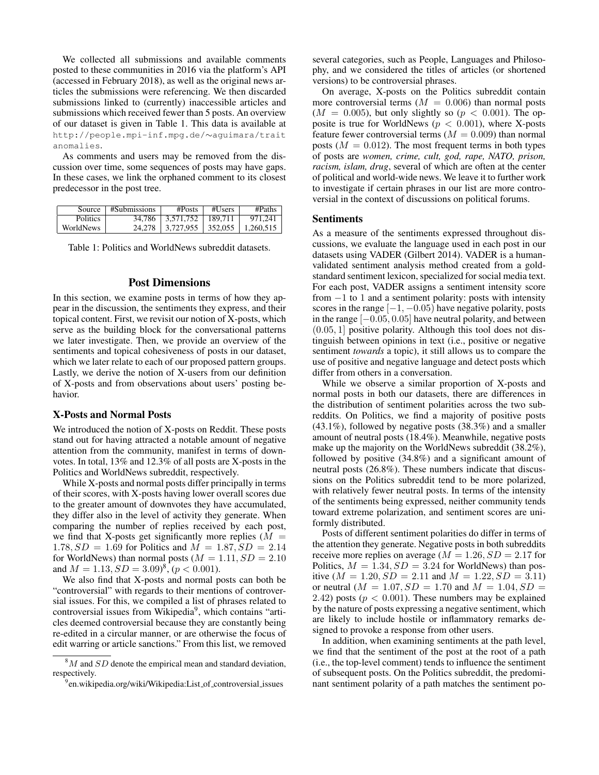We collected all submissions and available comments posted to these communities in 2016 via the platform's API (accessed in February 2018), as well as the original news articles the submissions were referencing. We then discarded submissions linked to (currently) inaccessible articles and submissions which received fewer than 5 posts. An overview of our dataset is given in Table 1. This data is available at http://people.mpi-inf.mpg.de/∼aguimara/trait anomalies.

As comments and users may be removed from the discussion over time, some sequences of posts may have gaps. In these cases, we link the orphaned comment to its closest predecessor in the post tree.

|           | Source $\pm$ #Submissions | #Posts                          | $#U$ sers | $\#Paths$ |
|-----------|---------------------------|---------------------------------|-----------|-----------|
| Politics  |                           | 34.786   3.571.752   189.711    |           | 971.241   |
| WorldNews | 24.278                    | $\mid$ 3.727.955 $\mid$ 352.055 |           | 1,260,515 |

Table 1: Politics and WorldNews subreddit datasets.

## Post Dimensions

In this section, we examine posts in terms of how they appear in the discussion, the sentiments they express, and their topical content. First, we revisit our notion of X-posts, which serve as the building block for the conversational patterns we later investigate. Then, we provide an overview of the sentiments and topical cohesiveness of posts in our dataset, which we later relate to each of our proposed pattern groups. Lastly, we derive the notion of X-users from our definition of X-posts and from observations about users' posting behavior.

#### X-Posts and Normal Posts

We introduced the notion of X-posts on Reddit. These posts stand out for having attracted a notable amount of negative attention from the community, manifest in terms of downvotes. In total, 13% and 12.3% of all posts are X-posts in the Politics and WorldNews subreddit, respectively.

While X-posts and normal posts differ principally in terms of their scores, with X-posts having lower overall scores due to the greater amount of downvotes they have accumulated, they differ also in the level of activity they generate. When comparing the number of replies received by each post, we find that X-posts get significantly more replies  $(M =$ 1.78,  $SD = 1.69$  for Politics and  $M = 1.87$ ,  $SD = 2.14$ for WorldNews) than normal posts ( $M = 1.11$ ,  $SD = 2.10$ and  $M = 1.13, SD = 3.09)^8, (p < 0.001)$ .

We also find that X-posts and normal posts can both be "controversial" with regards to their mentions of controversial issues. For this, we compiled a list of phrases related to controversial issues from Wikipedia<sup>9</sup>, which contains "articles deemed controversial because they are constantly being re-edited in a circular manner, or are otherwise the focus of edit warring or article sanctions." From this list, we removed several categories, such as People, Languages and Philosophy, and we considered the titles of articles (or shortened versions) to be controversial phrases.

On average, X-posts on the Politics subreddit contain more controversial terms  $(M = 0.006)$  than normal posts  $(M = 0.005)$ , but only slightly so  $(p < 0.001)$ . The opposite is true for WorldNews ( $p < 0.001$ ), where X-posts feature fewer controversial terms ( $M = 0.009$ ) than normal posts  $(M = 0.012)$ . The most frequent terms in both types of posts are *women, crime, cult, god, rape, NATO, prison, racism, islam, drug*, several of which are often at the center of political and world-wide news. We leave it to further work to investigate if certain phrases in our list are more controversial in the context of discussions on political forums.

#### Sentiments

As a measure of the sentiments expressed throughout discussions, we evaluate the language used in each post in our datasets using VADER (Gilbert 2014). VADER is a humanvalidated sentiment analysis method created from a goldstandard sentiment lexicon, specialized for social media text. For each post, VADER assigns a sentiment intensity score from  $-1$  to 1 and a sentiment polarity: posts with intensity scores in the range  $[-1, -0.05)$  have negative polarity, posts in the range  $[-0.05, 0.05]$  have neutral polarity, and between  $(0.05, 1]$  positive polarity. Although this tool does not distinguish between opinions in text (i.e., positive or negative sentiment *towards* a topic), it still allows us to compare the use of positive and negative language and detect posts which differ from others in a conversation.

While we observe a similar proportion of X-posts and normal posts in both our datasets, there are differences in the distribution of sentiment polarities across the two subreddits. On Politics, we find a majority of positive posts (43.1%), followed by negative posts (38.3%) and a smaller amount of neutral posts (18.4%). Meanwhile, negative posts make up the majority on the WorldNews subreddit (38.2%), followed by positive (34.8%) and a significant amount of neutral posts (26.8%). These numbers indicate that discussions on the Politics subreddit tend to be more polarized, with relatively fewer neutral posts. In terms of the intensity of the sentiments being expressed, neither community tends toward extreme polarization, and sentiment scores are uniformly distributed.

Posts of different sentiment polarities do differ in terms of the attention they generate. Negative posts in both subreddits receive more replies on average ( $M = 1.26$ ,  $SD = 2.17$  for Politics,  $M = 1.34$ ,  $SD = 3.24$  for WorldNews) than positive  $(M = 1.20, SD = 2.11$  and  $M = 1.22, SD = 3.11)$ or neutral ( $M = 1.07$ ,  $SD = 1.70$  and  $M = 1.04$ ,  $SD =$ 2.42) posts ( $p < 0.001$ ). These numbers may be explained by the nature of posts expressing a negative sentiment, which are likely to include hostile or inflammatory remarks designed to provoke a response from other users.

In addition, when examining sentiments at the path level, we find that the sentiment of the post at the root of a path (i.e., the top-level comment) tends to influence the sentiment of subsequent posts. On the Politics subreddit, the predominant sentiment polarity of a path matches the sentiment po-

 $8M$  and  $SD$  denote the empirical mean and standard deviation, respectively.

<sup>&</sup>lt;sup>9</sup>en.wikipedia.org/wiki/Wikipedia:List\_of\_controversial\_issues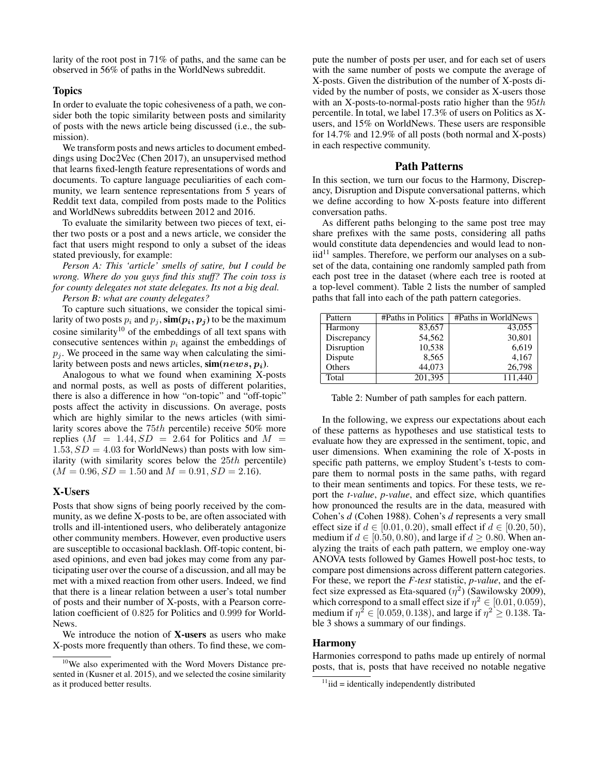larity of the root post in 71% of paths, and the same can be observed in 56% of paths in the WorldNews subreddit.

## **Topics**

In order to evaluate the topic cohesiveness of a path, we consider both the topic similarity between posts and similarity of posts with the news article being discussed (i.e., the submission).

We transform posts and news articles to document embeddings using Doc2Vec (Chen 2017), an unsupervised method that learns fixed-length feature representations of words and documents. To capture language peculiarities of each community, we learn sentence representations from 5 years of Reddit text data, compiled from posts made to the Politics and WorldNews subreddits between 2012 and 2016.

To evaluate the similarity between two pieces of text, either two posts or a post and a news article, we consider the fact that users might respond to only a subset of the ideas stated previously, for example:

*Person A: This 'article' smells of satire, but I could be wrong. Where do you guys find this stuff? The coin toss is for county delegates not state delegates. Its not a big deal.*

*Person B: what are county delegates?*

To capture such situations, we consider the topical similarity of two posts  $p_i$  and  $p_j$ ,  $\text{sim}(p_i, p_j)$  to be the maximum cosine similarity<sup>10</sup> of the embeddings of all text spans with consecutive sentences within  $p_i$  against the embeddings of  $p_i$ . We proceed in the same way when calculating the similarity between posts and news articles,  $\sin(news, p_i)$ .

Analogous to what we found when examining X-posts and normal posts, as well as posts of different polarities, there is also a difference in how "on-topic" and "off-topic" posts affect the activity in discussions. On average, posts which are highly similar to the news articles (with similarity scores above the 75th percentile) receive 50% more replies  $(M = 1.44, SD = 2.64$  for Politics and  $M =$  $1.53, SD = 4.03$  for WorldNews) than posts with low similarity (with similarity scores below the  $25th$  percentile)  $(M = 0.96, SD = 1.50$  and  $M = 0.91, SD = 2.16$ ).

#### X-Users

Posts that show signs of being poorly received by the community, as we define X-posts to be, are often associated with trolls and ill-intentioned users, who deliberately antagonize other community members. However, even productive users are susceptible to occasional backlash. Off-topic content, biased opinions, and even bad jokes may come from any participating user over the course of a discussion, and all may be met with a mixed reaction from other users. Indeed, we find that there is a linear relation between a user's total number of posts and their number of X-posts, with a Pearson correlation coefficient of 0.825 for Politics and 0.999 for World-News.

We introduce the notion of X-users as users who make X-posts more frequently than others. To find these, we compute the number of posts per user, and for each set of users with the same number of posts we compute the average of X-posts. Given the distribution of the number of X-posts divided by the number of posts, we consider as X-users those with an X-posts-to-normal-posts ratio higher than the  $95th$ percentile. In total, we label 17.3% of users on Politics as Xusers, and 15% on WorldNews. These users are responsible for 14.7% and 12.9% of all posts (both normal and X-posts) in each respective community.

# Path Patterns

In this section, we turn our focus to the Harmony, Discrepancy, Disruption and Dispute conversational patterns, which we define according to how X-posts feature into different conversation paths.

As different paths belonging to the same post tree may share prefixes with the same posts, considering all paths would constitute data dependencies and would lead to non $iid<sup>11</sup>$  samples. Therefore, we perform our analyses on a subset of the data, containing one randomly sampled path from each post tree in the dataset (where each tree is rooted at a top-level comment). Table 2 lists the number of sampled paths that fall into each of the path pattern categories.

| Pattern     | #Paths in Politics | #Paths in WorldNews |
|-------------|--------------------|---------------------|
| Harmony     | 83,657             | 43,055              |
| Discrepancy | 54,562             | 30,801              |
| Disruption  | 10,538             | 6,619               |
| Dispute     | 8,565              | 4,167               |
| Others      | 44,073             | 26,798              |
| Total       | 201,395            | 111,440             |

Table 2: Number of path samples for each pattern.

In the following, we express our expectations about each of these patterns as hypotheses and use statistical tests to evaluate how they are expressed in the sentiment, topic, and user dimensions. When examining the role of X-posts in specific path patterns, we employ Student's t-tests to compare them to normal posts in the same paths, with regard to their mean sentiments and topics. For these tests, we report the *t-value*, *p-value*, and effect size, which quantifies how pronounced the results are in the data, measured with Cohen's *d* (Cohen 1988). Cohen's *d* represents a very small effect size if  $d \in [0.01, 0.20)$ , small effect if  $d \in [0.20, 50)$ , medium if  $d \in [0.50, 0.80)$ , and large if  $d > 0.80$ . When analyzing the traits of each path pattern, we employ one-way ANOVA tests followed by Games Howell post-hoc tests, to compare post dimensions across different pattern categories. For these, we report the *F-test* statistic, *p-value*, and the effect size expressed as Eta-squared  $(\eta^2)$  (Sawilowsky 2009), which correspond to a small effect size if  $\eta^2 \in [0.01, 0.059)$ , medium if  $\eta^2 \in [0.059, 0.138)$ , and large if  $\eta^2 \ge 0.138$ . Table 3 shows a summary of our findings.

#### Harmony

Harmonies correspond to paths made up entirely of normal posts, that is, posts that have received no notable negative

 $10$ We also experimented with the Word Movers Distance presented in (Kusner et al. 2015), and we selected the cosine similarity as it produced better results.

 $11$ iid = identically independently distributed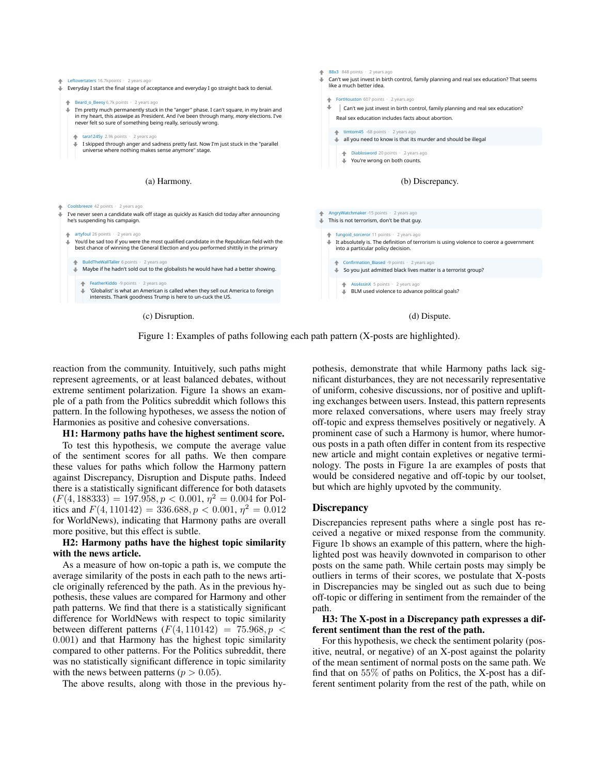

Figure 1: Examples of paths following each path pattern (X-posts are highlighted).

reaction from the community. Intuitively, such paths might represent agreements, or at least balanced debates, without extreme sentiment polarization. Figure 1a shows an example of a path from the Politics subreddit which follows this pattern. In the following hypotheses, we assess the notion of Harmonies as positive and cohesive conversations.

#### H1: Harmony paths have the highest sentiment score.

To test this hypothesis, we compute the average value of the sentiment scores for all paths. We then compare these values for paths which follow the Harmony pattern against Discrepancy, Disruption and Dispute paths. Indeed there is a statistically significant difference for both datasets  $(F(4, 188333) = 197.958, p < 0.001, \eta^2 = 0.004$  for Politics and  $F(4, 110142) = 336.688, p < 0.001, \eta^2 = 0.012$ for WorldNews), indicating that Harmony paths are overall more positive, but this effect is subtle.

#### H2: Harmony paths have the highest topic similarity with the news article.

As a measure of how on-topic a path is, we compute the average similarity of the posts in each path to the news article originally referenced by the path. As in the previous hypothesis, these values are compared for Harmony and other path patterns. We find that there is a statistically significant difference for WorldNews with respect to topic similarity between different patterns  $(F(4, 110142) = 75.968, p <$ 0.001) and that Harmony has the highest topic similarity compared to other patterns. For the Politics subreddit, there was no statistically significant difference in topic similarity with the news between patterns ( $p > 0.05$ ).

The above results, along with those in the previous hy-

pothesis, demonstrate that while Harmony paths lack significant disturbances, they are not necessarily representative of uniform, cohesive discussions, nor of positive and uplifting exchanges between users. Instead, this pattern represents more relaxed conversations, where users may freely stray off-topic and express themselves positively or negatively. A prominent case of such a Harmony is humor, where humorous posts in a path often differ in content from its respective new article and might contain expletives or negative terminology. The posts in Figure 1a are examples of posts that would be considered negative and off-topic by our toolset, but which are highly upvoted by the community.

#### **Discrepancy**

Discrepancies represent paths where a single post has received a negative or mixed response from the community. Figure 1b shows an example of this pattern, where the highlighted post was heavily downvoted in comparison to other posts on the same path. While certain posts may simply be outliers in terms of their scores, we postulate that X-posts in Discrepancies may be singled out as such due to being off-topic or differing in sentiment from the remainder of the path.

#### H3: The X-post in a Discrepancy path expresses a different sentiment than the rest of the path.

For this hypothesis, we check the sentiment polarity (positive, neutral, or negative) of an X-post against the polarity of the mean sentiment of normal posts on the same path. We find that on  $55\%$  of paths on Politics, the X-post has a different sentiment polarity from the rest of the path, while on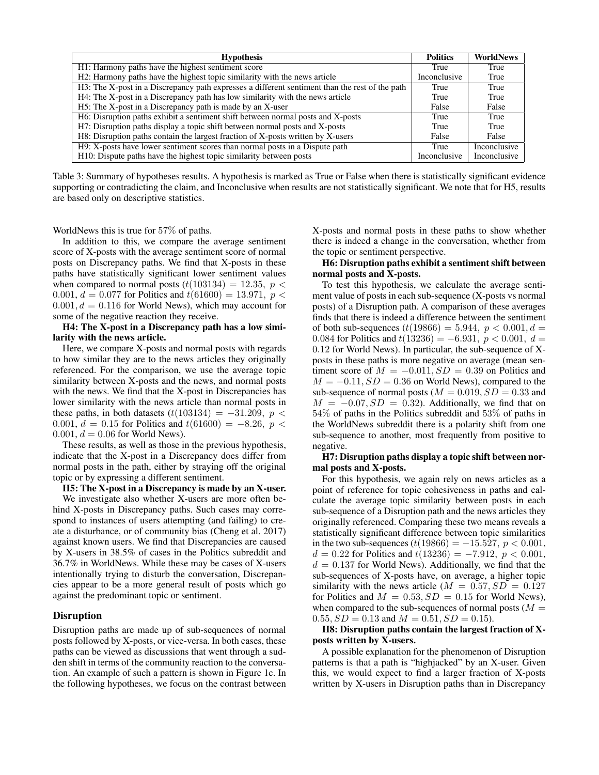| <b>Hypothesis</b>                                                                              | <b>Politics</b>     | <b>WorldNews</b>    |
|------------------------------------------------------------------------------------------------|---------------------|---------------------|
| H1: Harmony paths have the highest sentiment score                                             | True                | True                |
| H2: Harmony paths have the highest topic similarity with the news article                      | Inconclusive        | True                |
| H3: The X-post in a Discrepancy path expresses a different sentiment than the rest of the path | True                | True                |
| H4: The X-post in a Discrepancy path has low similarity with the news article                  | True                | True                |
| H5: The X-post in a Discrepancy path is made by an X-user                                      | False               | False               |
| H6: Disruption paths exhibit a sentiment shift between normal posts and X-posts                | True                | True                |
| H7: Disruption paths display a topic shift between normal posts and X-posts                    | True                | True                |
| H8: Disruption paths contain the largest fraction of X-posts written by X-users                | False               | False               |
| H9: X-posts have lower sentiment scores than normal posts in a Dispute path                    | True                | <b>Inconclusive</b> |
| H <sub>10</sub> : Dispute paths have the highest topic similarity between posts                | <b>Inconclusive</b> | <b>Inconclusive</b> |

Table 3: Summary of hypotheses results. A hypothesis is marked as True or False when there is statistically significant evidence supporting or contradicting the claim, and Inconclusive when results are not statistically significant. We note that for H5, results are based only on descriptive statistics.

WorldNews this is true for 57% of paths.

In addition to this, we compare the average sentiment score of X-posts with the average sentiment score of normal posts on Discrepancy paths. We find that X-posts in these paths have statistically significant lower sentiment values when compared to normal posts  $(t(103134) = 12.35, p <$ 0.001,  $d = 0.077$  for Politics and  $t(61600) = 13.971$ ,  $p <$  $0.001, d = 0.116$  for World News), which may account for some of the negative reaction they receive.

H4: The X-post in a Discrepancy path has a low similarity with the news article.

Here, we compare X-posts and normal posts with regards to how similar they are to the news articles they originally referenced. For the comparison, we use the average topic similarity between X-posts and the news, and normal posts with the news. We find that the X-post in Discrepancies has lower similarity with the news article than normal posts in these paths, in both datasets  $(t(103134) = -31.209, p <$ 0.001,  $d = 0.15$  for Politics and  $t(61600) = -8.26$ ,  $p <$  $0.001, d = 0.06$  for World News).

These results, as well as those in the previous hypothesis, indicate that the X-post in a Discrepancy does differ from normal posts in the path, either by straying off the original topic or by expressing a different sentiment.

H5: The X-post in a Discrepancy is made by an X-user.

We investigate also whether X-users are more often behind X-posts in Discrepancy paths. Such cases may correspond to instances of users attempting (and failing) to create a disturbance, or of community bias (Cheng et al. 2017) against known users. We find that Discrepancies are caused by X-users in 38.5% of cases in the Politics subreddit and 36.7% in WorldNews. While these may be cases of X-users intentionally trying to disturb the conversation, Discrepancies appear to be a more general result of posts which go against the predominant topic or sentiment.

## **Disruption**

Disruption paths are made up of sub-sequences of normal posts followed by X-posts, or vice-versa. In both cases, these paths can be viewed as discussions that went through a sudden shift in terms of the community reaction to the conversation. An example of such a pattern is shown in Figure 1c. In the following hypotheses, we focus on the contrast between

X-posts and normal posts in these paths to show whether there is indeed a change in the conversation, whether from the topic or sentiment perspective.

#### H6: Disruption paths exhibit a sentiment shift between normal posts and X-posts.

To test this hypothesis, we calculate the average sentiment value of posts in each sub-sequence (X-posts vs normal posts) of a Disruption path. A comparison of these averages finds that there is indeed a difference between the sentiment of both sub-sequences  $(t(19866) = 5.944, p < 0.001, d =$ 0.084 for Politics and  $t(13236) = -6.931$ ,  $p < 0.001$ ,  $d =$ 0.12 for World News). In particular, the sub-sequence of Xposts in these paths is more negative on average (mean sentiment score of  $M = -0.011, SD = 0.39$  on Politics and  $M = -0.11$ ,  $SD = 0.36$  on World News), compared to the sub-sequence of normal posts ( $M = 0.019$ ,  $SD = 0.33$  and  $M = -0.07, SD = 0.32$ . Additionally, we find that on 54% of paths in the Politics subreddit and 53% of paths in the WorldNews subreddit there is a polarity shift from one sub-sequence to another, most frequently from positive to negative.

## H7: Disruption paths display a topic shift between normal posts and X-posts.

For this hypothesis, we again rely on news articles as a point of reference for topic cohesiveness in paths and calculate the average topic similarity between posts in each sub-sequence of a Disruption path and the news articles they originally referenced. Comparing these two means reveals a statistically significant difference between topic similarities in the two sub-sequences  $(t(19866) = -15.527, p < 0.001,$  $d = 0.22$  for Politics and  $t(13236) = -7.912$ ,  $p < 0.001$ ,  $d = 0.137$  for World News). Additionally, we find that the sub-sequences of X-posts have, on average, a higher topic similarity with the news article ( $M = 0.57, SD = 0.127$ ) for Politics and  $M = 0.53, SD = 0.15$  for World News), when compared to the sub-sequences of normal posts  $(M =$  $0.55, SD = 0.13$  and  $M = 0.51, SD = 0.15$ .

## H8: Disruption paths contain the largest fraction of Xposts written by X-users.

A possible explanation for the phenomenon of Disruption patterns is that a path is "highjacked" by an X-user. Given this, we would expect to find a larger fraction of X-posts written by X-users in Disruption paths than in Discrepancy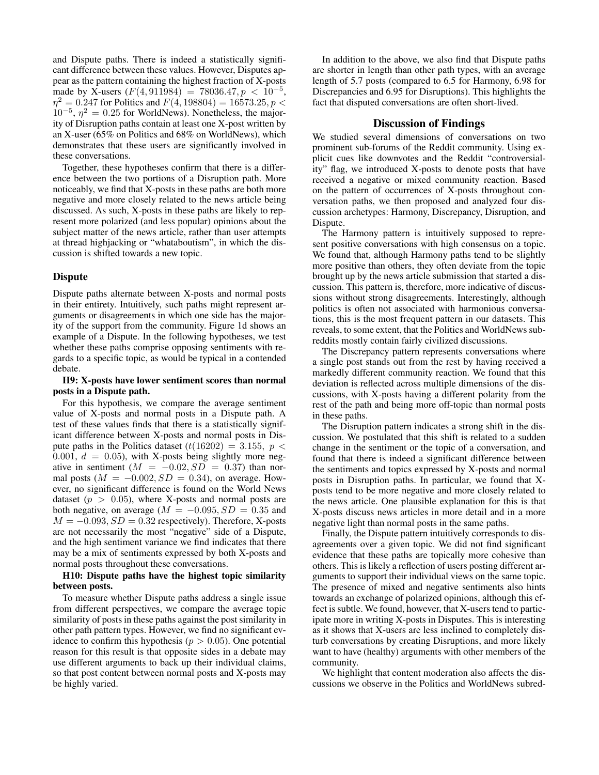and Dispute paths. There is indeed a statistically significant difference between these values. However, Disputes appear as the pattern containing the highest fraction of X-posts made by X-users  $(F(4, 911984) = 78036.47, p < 10^{-5}$ ,  $\eta^2 = 0.247$  for Politics and  $F(4, 198804) = 16573.25, p <$  $10^{-5}$ ,  $\eta^2 = 0.25$  for WorldNews). Nonetheless, the majority of Disruption paths contain at least one X-post written by an X-user (65% on Politics and 68% on WorldNews), which demonstrates that these users are significantly involved in these conversations.

Together, these hypotheses confirm that there is a difference between the two portions of a Disruption path. More noticeably, we find that X-posts in these paths are both more negative and more closely related to the news article being discussed. As such, X-posts in these paths are likely to represent more polarized (and less popular) opinions about the subject matter of the news article, rather than user attempts at thread highjacking or "whataboutism", in which the discussion is shifted towards a new topic.

#### **Dispute**

Dispute paths alternate between X-posts and normal posts in their entirety. Intuitively, such paths might represent arguments or disagreements in which one side has the majority of the support from the community. Figure 1d shows an example of a Dispute. In the following hypotheses, we test whether these paths comprise opposing sentiments with regards to a specific topic, as would be typical in a contended debate.

## H9: X-posts have lower sentiment scores than normal posts in a Dispute path.

For this hypothesis, we compare the average sentiment value of X-posts and normal posts in a Dispute path. A test of these values finds that there is a statistically significant difference between X-posts and normal posts in Dispute paths in the Politics dataset  $(t(16202) = 3.155, p <$ 0.001,  $d = 0.05$ ), with X-posts being slightly more negative in sentiment  $(M = -0.02, SD = 0.37)$  than normal posts ( $M = -0.002$ ,  $SD = 0.34$ ), on average. However, no significant difference is found on the World News dataset ( $p > 0.05$ ), where X-posts and normal posts are both negative, on average ( $M = -0.095$ ,  $SD = 0.35$  and  $M = -0.093, SD = 0.32$  respectively). Therefore, X-posts are not necessarily the most "negative" side of a Dispute, and the high sentiment variance we find indicates that there may be a mix of sentiments expressed by both X-posts and normal posts throughout these conversations.

#### H10: Dispute paths have the highest topic similarity between posts.

To measure whether Dispute paths address a single issue from different perspectives, we compare the average topic similarity of posts in these paths against the post similarity in other path pattern types. However, we find no significant evidence to confirm this hypothesis ( $p > 0.05$ ). One potential reason for this result is that opposite sides in a debate may use different arguments to back up their individual claims, so that post content between normal posts and X-posts may be highly varied.

In addition to the above, we also find that Dispute paths are shorter in length than other path types, with an average length of 5.7 posts (compared to 6.5 for Harmony, 6.98 for Discrepancies and 6.95 for Disruptions). This highlights the fact that disputed conversations are often short-lived.

## Discussion of Findings

We studied several dimensions of conversations on two prominent sub-forums of the Reddit community. Using explicit cues like downvotes and the Reddit "controversiality" flag, we introduced X-posts to denote posts that have received a negative or mixed community reaction. Based on the pattern of occurrences of X-posts throughout conversation paths, we then proposed and analyzed four discussion archetypes: Harmony, Discrepancy, Disruption, and Dispute.

The Harmony pattern is intuitively supposed to represent positive conversations with high consensus on a topic. We found that, although Harmony paths tend to be slightly more positive than others, they often deviate from the topic brought up by the news article submission that started a discussion. This pattern is, therefore, more indicative of discussions without strong disagreements. Interestingly, although politics is often not associated with harmonious conversations, this is the most frequent pattern in our datasets. This reveals, to some extent, that the Politics and WorldNews subreddits mostly contain fairly civilized discussions.

The Discrepancy pattern represents conversations where a single post stands out from the rest by having received a markedly different community reaction. We found that this deviation is reflected across multiple dimensions of the discussions, with X-posts having a different polarity from the rest of the path and being more off-topic than normal posts in these paths.

The Disruption pattern indicates a strong shift in the discussion. We postulated that this shift is related to a sudden change in the sentiment or the topic of a conversation, and found that there is indeed a significant difference between the sentiments and topics expressed by X-posts and normal posts in Disruption paths. In particular, we found that Xposts tend to be more negative and more closely related to the news article. One plausible explanation for this is that X-posts discuss news articles in more detail and in a more negative light than normal posts in the same paths.

Finally, the Dispute pattern intuitively corresponds to disagreements over a given topic. We did not find significant evidence that these paths are topically more cohesive than others. This is likely a reflection of users posting different arguments to support their individual views on the same topic. The presence of mixed and negative sentiments also hints towards an exchange of polarized opinions, although this effect is subtle. We found, however, that X-users tend to participate more in writing X-posts in Disputes. This is interesting as it shows that X-users are less inclined to completely disturb conversations by creating Disruptions, and more likely want to have (healthy) arguments with other members of the community.

We highlight that content moderation also affects the discussions we observe in the Politics and WorldNews subred